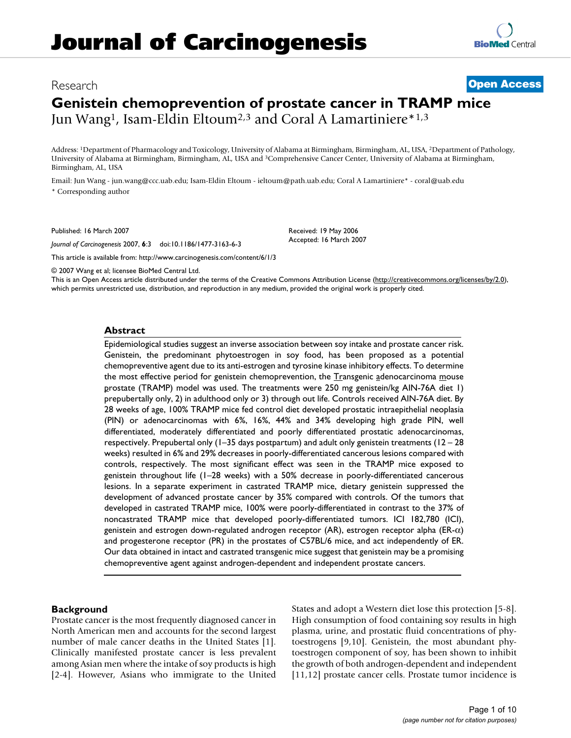# Research **[Open Access](http://www.biomedcentral.com/info/about/charter/)**

# **Genistein chemoprevention of prostate cancer in TRAMP mice** Jun Wang1, Isam-Eldin Eltoum2,3 and Coral A Lamartiniere\*1,3

Address: 1Department of Pharmacology and Toxicology, University of Alabama at Birmingham, Birmingham, AL, USA, 2Department of Pathology, University of Alabama at Birmingham, Birmingham, AL, USA and 3Comprehensive Cancer Center, University of Alabama at Birmingham, Birmingham, AL, USA

Email: Jun Wang - jun.wang@ccc.uab.edu; Isam-Eldin Eltoum - ieltoum@path.uab.edu; Coral A Lamartiniere\* - coral@uab.edu \* Corresponding author

Published: 16 March 2007

*Journal of Carcinogenesis* 2007, **6**:3 doi:10.1186/1477-3163-6-3

[This article is available from: http://www.carcinogenesis.com/content/6/1/3](http://www.carcinogenesis.com/content/6/1/3)

© 2007 Wang et al; licensee BioMed Central Ltd.

This is an Open Access article distributed under the terms of the Creative Commons Attribution License [\(http://creativecommons.org/licenses/by/2.0\)](http://creativecommons.org/licenses/by/2.0), which permits unrestricted use, distribution, and reproduction in any medium, provided the original work is properly cited.

Received: 19 May 2006 Accepted: 16 March 2007

## **Abstract**

Epidemiological studies suggest an inverse association between soy intake and prostate cancer risk. Genistein, the predominant phytoestrogen in soy food, has been proposed as a potential chemopreventive agent due to its anti-estrogen and tyrosine kinase inhibitory effects. To determine the most effective period for genistein chemoprevention, the Transgenic adenocarcinoma mouse prostate (TRAMP) model was used. The treatments were 250 mg genistein/kg AIN-76A diet 1) prepubertally only, 2) in adulthood only or 3) through out life. Controls received AIN-76A diet. By 28 weeks of age, 100% TRAMP mice fed control diet developed prostatic intraepithelial neoplasia (PIN) or adenocarcinomas with 6%, 16%, 44% and 34% developing high grade PIN, well differentiated, moderately differentiated and poorly differentiated prostatic adenocarcinomas, respectively. Prepubertal only  $(1-35$  days postpartum) and adult only genistein treatments  $(12 - 28)$ weeks) resulted in 6% and 29% decreases in poorly-differentiated cancerous lesions compared with controls, respectively. The most significant effect was seen in the TRAMP mice exposed to genistein throughout life (1–28 weeks) with a 50% decrease in poorly-differentiated cancerous lesions. In a separate experiment in castrated TRAMP mice, dietary genistein suppressed the development of advanced prostate cancer by 35% compared with controls. Of the tumors that developed in castrated TRAMP mice, 100% were poorly-differentiated in contrast to the 37% of noncastrated TRAMP mice that developed poorly-differentiated tumors. ICI 182,780 (ICI), genistein and estrogen down-regulated androgen receptor (AR), estrogen receptor alpha (ER- $\alpha$ ) and progesterone receptor (PR) in the prostates of C57BL/6 mice, and act independently of ER. Our data obtained in intact and castrated transgenic mice suggest that genistein may be a promising chemopreventive agent against androgen-dependent and independent prostate cancers.

# **Background**

Prostate cancer is the most frequently diagnosed cancer in North American men and accounts for the second largest number of male cancer deaths in the United States [1]. Clinically manifested prostate cancer is less prevalent among Asian men where the intake of soy products is high [2-4]. However, Asians who immigrate to the United States and adopt a Western diet lose this protection [5-8]. High consumption of food containing soy results in high plasma, urine, and prostatic fluid concentrations of phytoestrogens [9,10]. Genistein, the most abundant phytoestrogen component of soy, has been shown to inhibit the growth of both androgen-dependent and independent [11,12] prostate cancer cells. Prostate tumor incidence is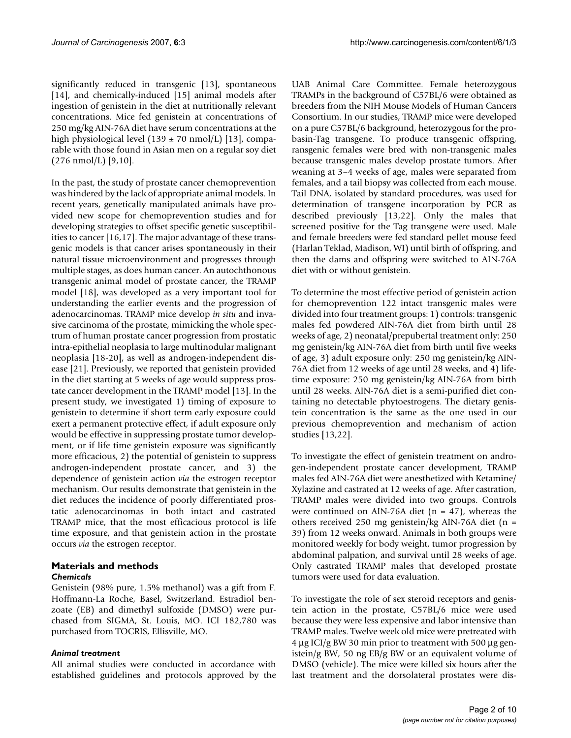significantly reduced in transgenic [13], spontaneous [14], and chemically-induced [15] animal models after ingestion of genistein in the diet at nutritionally relevant concentrations. Mice fed genistein at concentrations of 250 mg/kg AIN-76A diet have serum concentrations at the high physiological level (139  $\pm$  70 nmol/L) [13], comparable with those found in Asian men on a regular soy diet  $(276 \text{ nmol/L})$  [9,10].

In the past, the study of prostate cancer chemoprevention was hindered by the lack of appropriate animal models. In recent years, genetically manipulated animals have provided new scope for chemoprevention studies and for developing strategies to offset specific genetic susceptibilities to cancer [16,17]. The major advantage of these transgenic models is that cancer arises spontaneously in their natural tissue microenvironment and progresses through multiple stages, as does human cancer. An autochthonous transgenic animal model of prostate cancer, the TRAMP model [18], was developed as a very important tool for understanding the earlier events and the progression of adenocarcinomas. TRAMP mice develop *in situ* and invasive carcinoma of the prostate, mimicking the whole spectrum of human prostate cancer progression from prostatic intra-epithelial neoplasia to large multinodular malignant neoplasia [18-20], as well as androgen-independent disease [21]. Previously, we reported that genistein provided in the diet starting at 5 weeks of age would suppress prostate cancer development in the TRAMP model [13]. In the present study, we investigated 1) timing of exposure to genistein to determine if short term early exposure could exert a permanent protective effect, if adult exposure only would be effective in suppressing prostate tumor development, or if life time genistein exposure was significantly more efficacious, 2) the potential of genistein to suppress androgen-independent prostate cancer, and 3) the dependence of genistein action *via* the estrogen receptor mechanism. Our results demonstrate that genistein in the diet reduces the incidence of poorly differentiated prostatic adenocarcinomas in both intact and castrated TRAMP mice, that the most efficacious protocol is life time exposure, and that genistein action in the prostate occurs *via* the estrogen receptor.

# **Materials and methods** *Chemicals*

Genistein (98% pure, 1.5% methanol) was a gift from F. Hoffmann-La Roche, Basel, Switzerland. Estradiol benzoate (EB) and dimethyl sulfoxide (DMSO) were purchased from SIGMA, St. Louis, MO. ICI 182,780 was purchased from TOCRIS, Ellisville, MO.

## *Animal treatment*

All animal studies were conducted in accordance with established guidelines and protocols approved by the UAB Animal Care Committee. Female heterozygous TRAMPs in the background of C57BL/6 were obtained as breeders from the NIH Mouse Models of Human Cancers Consortium. In our studies, TRAMP mice were developed on a pure C57BL/6 background, heterozygous for the probasin-Tag transgene. To produce transgenic offspring, ransgenic females were bred with non-transgenic males because transgenic males develop prostate tumors. After weaning at 3–4 weeks of age, males were separated from females, and a tail biopsy was collected from each mouse. Tail DNA, isolated by standard procedures, was used for determination of transgene incorporation by PCR as described previously [13,22]. Only the males that screened positive for the Tag transgene were used. Male and female breeders were fed standard pellet mouse feed (Harlan Teklad, Madison, WI) until birth of offspring, and then the dams and offspring were switched to AIN-76A diet with or without genistein.

To determine the most effective period of genistein action for chemoprevention 122 intact transgenic males were divided into four treatment groups: 1) controls: transgenic males fed powdered AIN-76A diet from birth until 28 weeks of age, 2) neonatal/prepubertal treatment only: 250 mg genistein/kg AIN-76A diet from birth until five weeks of age, 3) adult exposure only: 250 mg genistein/kg AIN-76A diet from 12 weeks of age until 28 weeks, and 4) lifetime exposure: 250 mg genistein/kg AIN-76A from birth until 28 weeks. AIN-76A diet is a semi-purified diet containing no detectable phytoestrogens. The dietary genistein concentration is the same as the one used in our previous chemoprevention and mechanism of action studies [13,22].

To investigate the effect of genistein treatment on androgen-independent prostate cancer development, TRAMP males fed AIN-76A diet were anesthetized with Ketamine/ Xylazine and castrated at 12 weeks of age. After castration, TRAMP males were divided into two groups. Controls were continued on AIN-76A diet ( $n = 47$ ), whereas the others received 250 mg genistein/kg AIN-76A diet (n = 39) from 12 weeks onward. Animals in both groups were monitored weekly for body weight, tumor progression by abdominal palpation, and survival until 28 weeks of age. Only castrated TRAMP males that developed prostate tumors were used for data evaluation.

To investigate the role of sex steroid receptors and genistein action in the prostate, C57BL/6 mice were used because they were less expensive and labor intensive than TRAMP males. Twelve week old mice were pretreated with 4 μg ICI/g BW 30 min prior to treatment with 500 μg genistein/g BW, 50 ng EB/g BW or an equivalent volume of DMSO (vehicle). The mice were killed six hours after the last treatment and the dorsolateral prostates were dis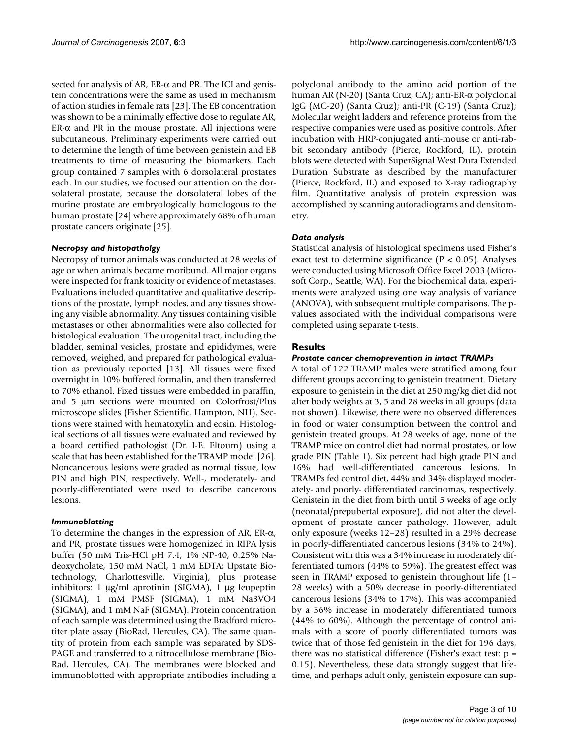sected for analysis of AR, ER- $\alpha$  and PR. The ICI and genistein concentrations were the same as used in mechanism of action studies in female rats [23]. The EB concentration was shown to be a minimally effective dose to regulate AR, ER- $\alpha$  and PR in the mouse prostate. All injections were subcutaneous. Preliminary experiments were carried out to determine the length of time between genistein and EB treatments to time of measuring the biomarkers. Each group contained 7 samples with 6 dorsolateral prostates each. In our studies, we focused our attention on the dorsolateral prostate, because the dorsolateral lobes of the murine prostate are embryologically homologous to the human prostate [24] where approximately 68% of human prostate cancers originate [25].

## *Necropsy and histopatholgy*

Necropsy of tumor animals was conducted at 28 weeks of age or when animals became moribund. All major organs were inspected for frank toxicity or evidence of metastases. Evaluations included quantitative and qualitative descriptions of the prostate, lymph nodes, and any tissues showing any visible abnormality. Any tissues containing visible metastases or other abnormalities were also collected for histological evaluation. The urogenital tract, including the bladder, seminal vesicles, prostate and epididymes, were removed, weighed, and prepared for pathological evaluation as previously reported [13]. All tissues were fixed overnight in 10% buffered formalin, and then transferred to 70% ethanol. Fixed tissues were embedded in paraffin, and 5 μm sections were mounted on Colorfrost/Plus microscope slides (Fisher Scientific, Hampton, NH). Sections were stained with hematoxylin and eosin. Histological sections of all tissues were evaluated and reviewed by a board certified pathologist (Dr. I-E. Eltoum) using a scale that has been established for the TRAMP model [26]. Noncancerous lesions were graded as normal tissue, low PIN and high PIN, respectively. Well-, moderately- and poorly-differentiated were used to describe cancerous lesions.

## *Immunoblotting*

To determine the changes in the expression of AR, ER-α, and PR, prostate tissues were homogenized in RIPA lysis buffer (50 mM Tris-HCl pH 7.4, 1% NP-40, 0.25% Nadeoxycholate, 150 mM NaCl, 1 mM EDTA; Upstate Biotechnology, Charlottesville, Virginia), plus protease inhibitors: 1 μg/ml aprotinin (SIGMA), 1 μg leupeptin (SIGMA), 1 mM PMSF (SIGMA), 1 mM Na3VO4 (SIGMA), and 1 mM NaF (SIGMA). Protein concentration of each sample was determined using the Bradford microtiter plate assay (BioRad, Hercules, CA). The same quantity of protein from each sample was separated by SDS-PAGE and transferred to a nitrocellulose membrane (Bio-Rad, Hercules, CA). The membranes were blocked and immunoblotted with appropriate antibodies including a

polyclonal antibody to the amino acid portion of the human AR (N-20) (Santa Cruz, CA); anti-ER-α polyclonal IgG (MC-20) (Santa Cruz); anti-PR (C-19) (Santa Cruz); Molecular weight ladders and reference proteins from the respective companies were used as positive controls. After incubation with HRP-conjugated anti-mouse or anti-rabbit secondary antibody (Pierce, Rockford, IL), protein blots were detected with SuperSignal West Dura Extended Duration Substrate as described by the manufacturer (Pierce, Rockford, IL) and exposed to X-ray radiography film. Quantitative analysis of protein expression was accomplished by scanning autoradiograms and densitometry.

## *Data analysis*

Statistical analysis of histological specimens used Fisher's exact test to determine significance ( $P < 0.05$ ). Analyses were conducted using Microsoft Office Excel 2003 (Microsoft Corp., Seattle, WA). For the biochemical data, experiments were analyzed using one way analysis of variance (ANOVA), with subsequent multiple comparisons. The pvalues associated with the individual comparisons were completed using separate t-tests.

# **Results**

#### *Prostate cancer chemoprevention in intact TRAMPs*

A total of 122 TRAMP males were stratified among four different groups according to genistein treatment. Dietary exposure to genistein in the diet at 250 mg/kg diet did not alter body weights at 3, 5 and 28 weeks in all groups (data not shown). Likewise, there were no observed differences in food or water consumption between the control and genistein treated groups. At 28 weeks of age, none of the TRAMP mice on control diet had normal prostates, or low grade PIN (Table 1). Six percent had high grade PIN and 16% had well-differentiated cancerous lesions. In TRAMPs fed control diet, 44% and 34% displayed moderately- and poorly- differentiated carcinomas, respectively. Genistein in the diet from birth until 5 weeks of age only (neonatal/prepubertal exposure), did not alter the development of prostate cancer pathology. However, adult only exposure (weeks 12–28) resulted in a 29% decrease in poorly-differentiated cancerous lesions (34% to 24%). Consistent with this was a 34% increase in moderately differentiated tumors (44% to 59%). The greatest effect was seen in TRAMP exposed to genistein throughout life (1– 28 weeks) with a 50% decrease in poorly-differentiated cancerous lesions (34% to 17%). This was accompanied by a 36% increase in moderately differentiated tumors (44% to 60%). Although the percentage of control animals with a score of poorly differentiated tumors was twice that of those fed genistein in the diet for 196 days, there was no statistical difference (Fisher's exact test:  $p =$ 0.15). Nevertheless, these data strongly suggest that lifetime, and perhaps adult only, genistein exposure can sup-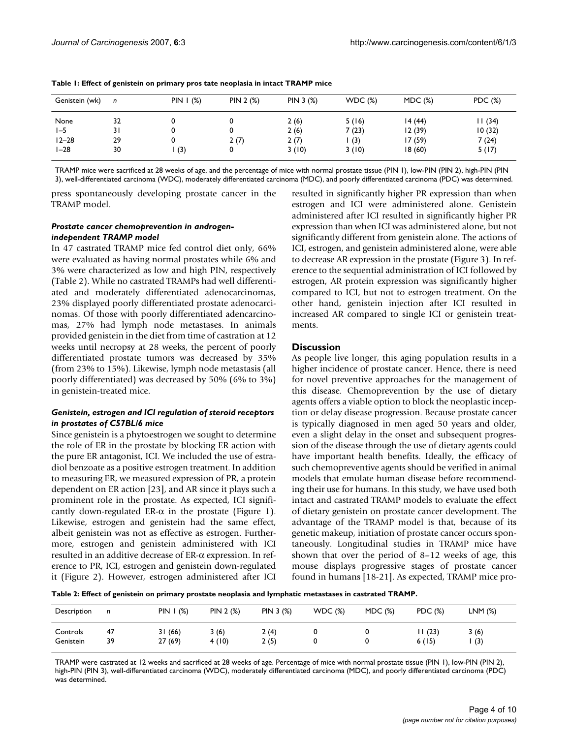| Genistein (wk) | n  | PIN $\mid$ (%) | PIN 2 (%) | PIN 3 (%) | WDC(%) | MDC(%) | PDC (%) |
|----------------|----|----------------|-----------|-----------|--------|--------|---------|
| None           | 32 |                |           | 2(6)      | 5(16)  | 14(44) | II (34) |
| $1 - 5$        | 31 |                |           | 2(6)      | 7(23)  | 12(39) | 10(32)  |
| $12 - 28$      | 29 |                | 2 (7)     | 2(7)      | (3)    | 17(59) | 7 (24)  |
| $1-28$         | 30 | (3)            |           | 3(10)     | 3(10)  | 18(60) | 5(17)   |

**Table 1: Effect of genistein on primary pros tate neoplasia in intact TRAMP mice**

TRAMP mice were sacrificed at 28 weeks of age, and the percentage of mice with normal prostate tissue (PIN 1), low-PIN (PIN 2), high-PIN (PIN 3), well-differentiated carcinoma (WDC), moderately differentiated carcinoma (MDC), and poorly differentiated carcinoma (PDC) was determined.

press spontaneously developing prostate cancer in the TRAMP model.

#### *Prostate cancer chemoprevention in androgenindependent TRAMP model*

In 47 castrated TRAMP mice fed control diet only, 66% were evaluated as having normal prostates while 6% and 3% were characterized as low and high PIN, respectively (Table 2). While no castrated TRAMPs had well differentiated and moderately differentiated adenocarcinomas, 23% displayed poorly differentiated prostate adenocarcinomas. Of those with poorly differentiated adencarcinomas, 27% had lymph node metastases. In animals provided genistein in the diet from time of castration at 12 weeks until necropsy at 28 weeks, the percent of poorly differentiated prostate tumors was decreased by 35% (from 23% to 15%). Likewise, lymph node metastasis (all poorly differentiated) was decreased by 50% (6% to 3%) in genistein-treated mice.

# *Genistein, estrogen and ICI regulation of steroid receptors in prostates of C57BL/6 mice*

Since genistein is a phytoestrogen we sought to determine the role of ER in the prostate by blocking ER action with the pure ER antagonist, ICI. We included the use of estradiol benzoate as a positive estrogen treatment. In addition to measuring ER, we measured expression of PR, a protein dependent on ER action [23], and AR since it plays such a prominent role in the prostate. As expected, ICI significantly down-regulated ER- $\alpha$  in the prostate (Figure 1). Likewise, estrogen and genistein had the same effect, albeit genistein was not as effective as estrogen. Furthermore, estrogen and genistein administered with ICI resulted in an additive decrease of ER-α expression. In reference to PR, ICI, estrogen and genistein down-regulated it (Figure 2). However, estrogen administered after ICI resulted in significantly higher PR expression than when estrogen and ICI were administered alone. Genistein administered after ICI resulted in significantly higher PR expression than when ICI was administered alone, but not significantly different from genistein alone. The actions of ICI, estrogen, and genistein administered alone, were able to decrease AR expression in the prostate (Figure 3). In reference to the sequential administration of ICI followed by estrogen, AR protein expression was significantly higher compared to ICI, but not to estrogen treatment. On the other hand, genistein injection after ICI resulted in increased AR compared to single ICI or genistein treatments.

# **Discussion**

As people live longer, this aging population results in a higher incidence of prostate cancer. Hence, there is need for novel preventive approaches for the management of this disease. Chemoprevention by the use of dietary agents offers a viable option to block the neoplastic inception or delay disease progression. Because prostate cancer is typically diagnosed in men aged 50 years and older, even a slight delay in the onset and subsequent progression of the disease through the use of dietary agents could have important health benefits. Ideally, the efficacy of such chemopreventive agents should be verified in animal models that emulate human disease before recommending their use for humans. In this study, we have used both intact and castrated TRAMP models to evaluate the effect of dietary genistein on prostate cancer development. The advantage of the TRAMP model is that, because of its genetic makeup, initiation of prostate cancer occurs spontaneously. Longitudinal studies in TRAMP mice have shown that over the period of 8–12 weeks of age, this mouse displays progressive stages of prostate cancer found in humans [18-21]. As expected, TRAMP mice pro-

**Table 2: Effect of genistein on primary prostate neoplasia and lymphatic metastases in castrated TRAMP.**

| Description           | n        | PIN $\mid$ (%)   | PIN 2 (%)     | PIN 3 (%)    | WDC(%) | MDC(%) | PDC (%)        | $LNM$ $(\%)$ |
|-----------------------|----------|------------------|---------------|--------------|--------|--------|----------------|--------------|
| Controls<br>Genistein | 47<br>39 | 31(66)<br>27(69) | 3(6)<br>4(10) | 2(4)<br>2(5) |        |        | 1(23)<br>6(15) | 3(6)<br>(3)  |

TRAMP were castrated at 12 weeks and sacrificed at 28 weeks of age. Percentage of mice with normal prostate tissue (PIN 1), low-PIN (PIN 2), high-PIN (PIN 3), well-differentiated carcinoma (WDC), moderately differentiated carcinoma (MDC), and poorly differentiated carcinoma (PDC) was determined.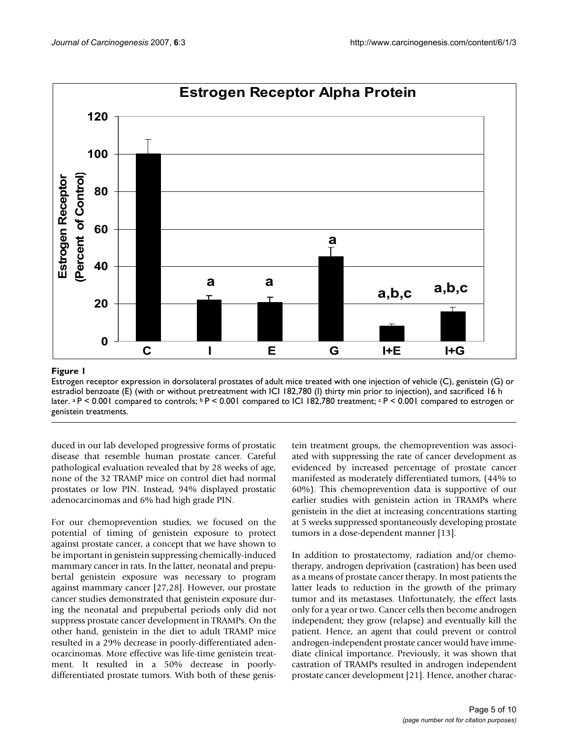

# Estrogen receptor expression in dorsolater estradiol benzoate (E) (with or without pr later **Figure 1** etreatment with ICI 182,780 (I) thirty min al prostates of adult mice treated with one injection of prior to injection), and sacrificed 16 h vehicle (C), genistein (G) or

Estrogen receptor expression in dorsolateral prostates of adult mice treated with one injection of vehicle (C), genistein (G) or estradiol benzoate (E) (with or without pretreatment with ICI 182,780 (I) thirty min prior to injection), and sacrificed 16 h later. a P < 0.001 compared to controls;  $bP < 0.001$  compared to ICI 182,780 treatment;  $cP < 0.001$  compared to estrogen or genistein treatments.

duced in our lab developed progressive forms of prostatic disease that resemble human prostate cancer. Careful pathological evaluation revealed that by 28 weeks of age, none of the 32 TRAMP mice on control diet had normal prostates or low PIN. Instead, 94% displayed prostatic adenocarcinomas and 6% had high grade PIN.

For our chemoprevention studies, we focused on the potential of timing of genistein exposure to protect against prostate cancer, a concept that we have shown to be important in genistein suppressing chemically-induced mammary cancer in rats. In the latter, neonatal and prepubertal genistein exposure was necessary to program against mammary cancer [27,28]. However, our prostate cancer studies demonstrated that genistein exposure during the neonatal and prepubertal periods only did not suppress prostate cancer development in TRAMPs. On the other hand, genistein in the diet to adult TRAMP mice resulted in a 29% decrease in poorly-differentiated adenocarcinomas. More effective was life-time genistein treatment. It resulted in a 50% decrease in poorlydifferentiated prostate tumors. With both of these genistein treatment groups, the chemoprevention was associated with suppressing the rate of cancer development as evidenced by increased percentage of prostate cancer manifested as moderately differentiated tumors, (44% to 60%). This chemoprevention data is supportive of our earlier studies with genistein action in TRAMPs where genistein in the diet at increasing concentrations starting at 5 weeks suppressed spontaneously developing prostate tumors in a dose-dependent manner [13].

In addition to prostatectomy, radiation and/or chemotherapy, androgen deprivation (castration) has been used as a means of prostate cancer therapy. In most patients the latter leads to reduction in the growth of the primary tumor and its metastases. Unfortunately, the effect lasts only for a year or two. Cancer cells then become androgen independent; they grow (relapse) and eventually kill the patient. Hence, an agent that could prevent or control androgen-independent prostate cancer would have immediate clinical importance. Previously, it was shown that castration of TRAMPs resulted in androgen independent prostate cancer development [21]. Hence, another charac-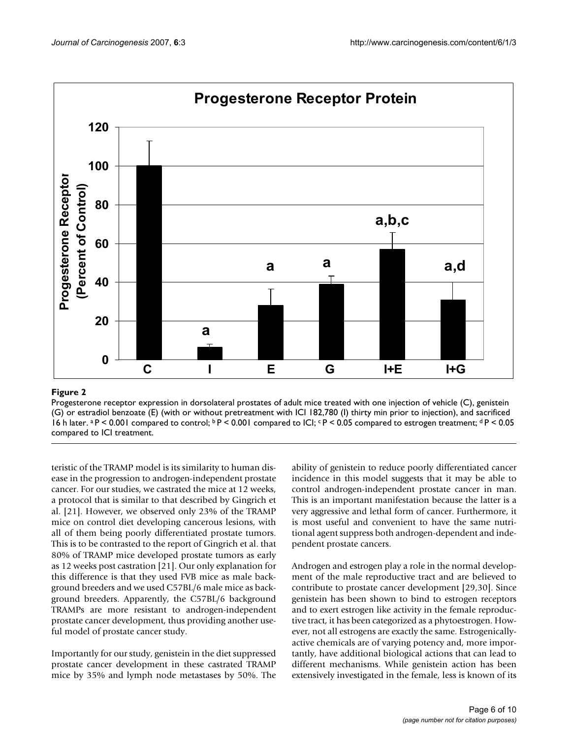

# Figure 2 and 2008 and 2008 and 2008 and 2008 and 2008 and 2008 and 2008 and 2008 and 2008 and 2008 and 2008 an

Progesterone receptor expression in dorsolateral prostates of adult mice treated with one injection of vehicle (C), genistein (G) or estradiol benzoate (E) (with or without pretreatment with ICI 182,780 (I) thirty min prior to injection), and sacrificed 16 h later. <sup>a</sup> P < 0.001 compared to control; <sup>b</sup> P < 0.001 compared to ICI; <sup>c</sup> P < 0.05 compared to estrogen treatment; <sup>d</sup> P < 0.05 compared to ICI treatment.

teristic of the TRAMP model is its similarity to human disease in the progression to androgen-independent prostate cancer. For our studies, we castrated the mice at 12 weeks, a protocol that is similar to that described by Gingrich et al. [21]. However, we observed only 23% of the TRAMP mice on control diet developing cancerous lesions, with all of them being poorly differentiated prostate tumors. This is to be contrasted to the report of Gingrich et al. that 80% of TRAMP mice developed prostate tumors as early as 12 weeks post castration [21]. Our only explanation for this difference is that they used FVB mice as male background breeders and we used C57BL/6 male mice as background breeders. Apparently, the C57BL/6 background TRAMPs are more resistant to androgen-independent prostate cancer development, thus providing another useful model of prostate cancer study.

Importantly for our study, genistein in the diet suppressed prostate cancer development in these castrated TRAMP mice by 35% and lymph node metastases by 50%. The ability of genistein to reduce poorly differentiated cancer incidence in this model suggests that it may be able to control androgen-independent prostate cancer in man. This is an important manifestation because the latter is a very aggressive and lethal form of cancer. Furthermore, it is most useful and convenient to have the same nutritional agent suppress both androgen-dependent and independent prostate cancers.

Androgen and estrogen play a role in the normal development of the male reproductive tract and are believed to contribute to prostate cancer development [29,30]. Since genistein has been shown to bind to estrogen receptors and to exert estrogen like activity in the female reproductive tract, it has been categorized as a phytoestrogen. However, not all estrogens are exactly the same. Estrogenicallyactive chemicals are of varying potency and, more importantly, have additional biological actions that can lead to different mechanisms. While genistein action has been extensively investigated in the female, less is known of its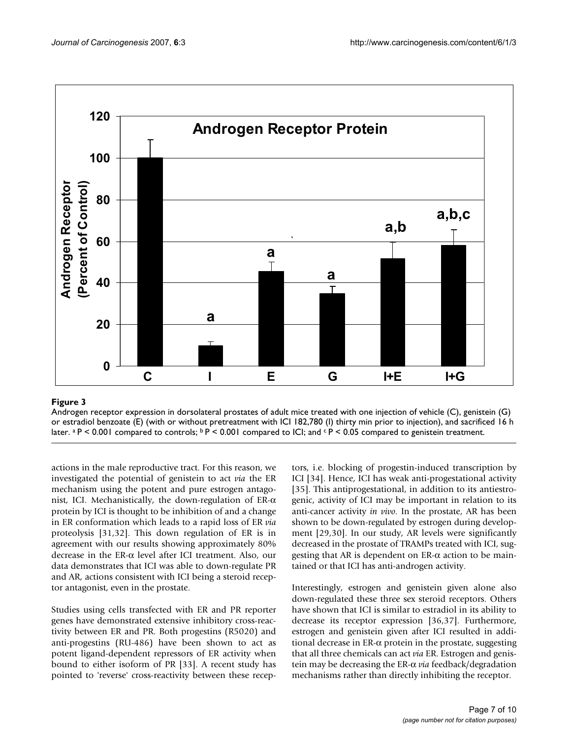

# **Figure 3** Production of the contract of the contract of the contract of the contract of the contract of the contract of the contract of the contract of the contract of the contract of the contract of the contract of the c

Androgen receptor expression in dorsolateral prostates of adult mice treated with one injection of vehicle (C), genistein (G) or estradiol benzoate (E) (with or without pretreatment with ICI 182,780 (I) thirty min prior to injection), and sacrificed 16 h later.  $P > 0.001$  compared to controls;  $P > 0.001$  compared to ICI; and  $P > 0.05$  compared to genistein treatment.

actions in the male reproductive tract. For this reason, we investigated the potential of genistein to act *via* the ER mechanism using the potent and pure estrogen antagonist, ICI. Mechanistically, the down-regulation of ER-α protein by ICI is thought to be inhibition of and a change in ER conformation which leads to a rapid loss of ER *via* proteolysis [31,32]. This down regulation of ER is in agreement with our results showing approximately 80% decrease in the ER-α level after ICI treatment. Also, our data demonstrates that ICI was able to down-regulate PR and AR, actions consistent with ICI being a steroid receptor antagonist, even in the prostate.

Studies using cells transfected with ER and PR reporter genes have demonstrated extensive inhibitory cross-reactivity between ER and PR. Both progestins (R5020) and anti-progestins (RU-486) have been shown to act as potent ligand-dependent repressors of ER activity when bound to either isoform of PR [33]. A recent study has pointed to 'reverse' cross-reactivity between these receptors, i.e. blocking of progestin-induced transcription by ICI [34]. Hence, ICI has weak anti-progestational activity [35]. This antiprogestational, in addition to its antiestrogenic, activity of ICI may be important in relation to its anti-cancer activity *in vivo*. In the prostate, AR has been shown to be down-regulated by estrogen during development [29,30]. In our study, AR levels were significantly decreased in the prostate of TRAMPs treated with ICI, suggesting that AR is dependent on  $ER-\alpha$  action to be maintained or that ICI has anti-androgen activity.

Interestingly, estrogen and genistein given alone also down-regulated these three sex steroid receptors. Others have shown that ICI is similar to estradiol in its ability to decrease its receptor expression [36,37]. Furthermore, estrogen and genistein given after ICI resulted in additional decrease in ER-α protein in the prostate, suggesting that all three chemicals can act *via* ER. Estrogen and genistein may be decreasing the ER-α *via* feedback/degradation mechanisms rather than directly inhibiting the receptor.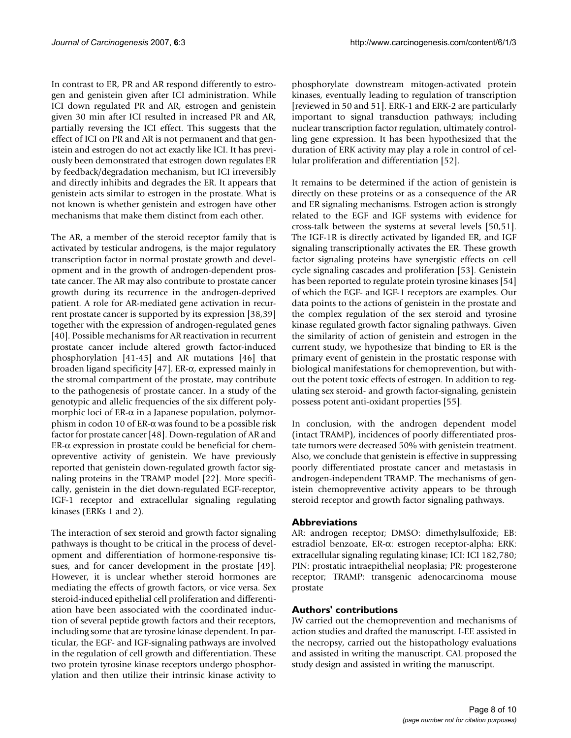In contrast to ER, PR and AR respond differently to estrogen and genistein given after ICI administration. While ICI down regulated PR and AR, estrogen and genistein given 30 min after ICI resulted in increased PR and AR, partially reversing the ICI effect. This suggests that the effect of ICI on PR and AR is not permanent and that genistein and estrogen do not act exactly like ICI. It has previously been demonstrated that estrogen down regulates ER by feedback/degradation mechanism, but ICI irreversibly and directly inhibits and degrades the ER. It appears that genistein acts similar to estrogen in the prostate. What is not known is whether genistein and estrogen have other mechanisms that make them distinct from each other.

The AR, a member of the steroid receptor family that is activated by testicular androgens, is the major regulatory transcription factor in normal prostate growth and development and in the growth of androgen-dependent prostate cancer. The AR may also contribute to prostate cancer growth during its recurrence in the androgen-deprived patient. A role for AR-mediated gene activation in recurrent prostate cancer is supported by its expression [38,39] together with the expression of androgen-regulated genes [40]. Possible mechanisms for AR reactivation in recurrent prostate cancer include altered growth factor-induced phosphorylation [41-45] and AR mutations [46] that broaden ligand specificity [47]. ER-α, expressed mainly in the stromal compartment of the prostate, may contribute to the pathogenesis of prostate cancer. In a study of the genotypic and allelic frequencies of the six different polymorphic loci of  $ER-\alpha$  in a Japanese population, polymorphism in codon 10 of ER-α was found to be a possible risk factor for prostate cancer [48]. Down-regulation of AR and ER-α expression in prostate could be beneficial for chemopreventive activity of genistein. We have previously reported that genistein down-regulated growth factor signaling proteins in the TRAMP model [22]. More specifically, genistein in the diet down-regulated EGF-receptor, IGF-1 receptor and extracellular signaling regulating kinases (ERKs 1 and 2).

The interaction of sex steroid and growth factor signaling pathways is thought to be critical in the process of development and differentiation of hormone-responsive tissues, and for cancer development in the prostate [49]. However, it is unclear whether steroid hormones are mediating the effects of growth factors, or vice versa. Sex steroid-induced epithelial cell proliferation and differentiation have been associated with the coordinated induction of several peptide growth factors and their receptors, including some that are tyrosine kinase dependent. In particular, the EGF- and IGF-signaling pathways are involved in the regulation of cell growth and differentiation. These two protein tyrosine kinase receptors undergo phosphorylation and then utilize their intrinsic kinase activity to

phosphorylate downstream mitogen-activated protein kinases, eventually leading to regulation of transcription [reviewed in 50 and 51]. ERK-1 and ERK-2 are particularly important to signal transduction pathways; including nuclear transcription factor regulation, ultimately controlling gene expression. It has been hypothesized that the duration of ERK activity may play a role in control of cellular proliferation and differentiation [52].

It remains to be determined if the action of genistein is directly on these proteins or as a consequence of the AR and ER signaling mechanisms. Estrogen action is strongly related to the EGF and IGF systems with evidence for cross-talk between the systems at several levels [50,51]. The IGF-1R is directly activated by liganded ER, and IGF signaling transcriptionally activates the ER. These growth factor signaling proteins have synergistic effects on cell cycle signaling cascades and proliferation [53]. Genistein has been reported to regulate protein tyrosine kinases [54] of which the EGF- and IGF-1 receptors are examples. Our data points to the actions of genistein in the prostate and the complex regulation of the sex steroid and tyrosine kinase regulated growth factor signaling pathways. Given the similarity of action of genistein and estrogen in the current study, we hypothesize that binding to ER is the primary event of genistein in the prostatic response with biological manifestations for chemoprevention, but without the potent toxic effects of estrogen. In addition to regulating sex steroid- and growth factor-signaling, genistein possess potent anti-oxidant properties [55].

In conclusion, with the androgen dependent model (intact TRAMP), incidences of poorly differentiated prostate tumors were decreased 50% with genistein treatment. Also, we conclude that genistein is effective in suppressing poorly differentiated prostate cancer and metastasis in androgen-independent TRAMP. The mechanisms of genistein chemopreventive activity appears to be through steroid receptor and growth factor signaling pathways.

# **Abbreviations**

AR: androgen receptor; DMSO: dimethylsulfoxide; EB: estradiol benzoate, ER-α: estrogen receptor-alpha; ERK: extracellular signaling regulating kinase; ICI: ICI 182,780; PIN: prostatic intraepithelial neoplasia; PR: progesterone receptor; TRAMP: transgenic adenocarcinoma mouse prostate

# **Authors' contributions**

JW carried out the chemoprevention and mechanisms of action studies and drafted the manuscript. I-EE assisted in the necropsy, carried out the histopathology evaluations and assisted in writing the manuscript. CAL proposed the study design and assisted in writing the manuscript.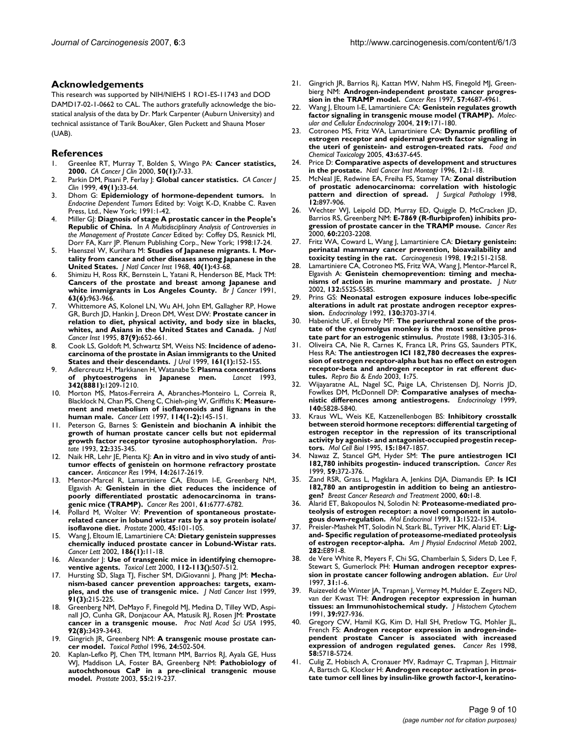#### **Acknowledgements**

This research was supported by NIH/NIEHS 1 RO1-ES-11743 and DOD DAMD17-02-1-0662 to CAL. The authors gratefully acknowledge the biostatical analysis of the data by Dr. Mark Carpenter (Auburn University) and technical assistance of Tarik BouAker, Glen Puckett and Shauna Moser (UAB).

#### **References**

- 1. Greenlee RT, Murray T, Bolden S, Wingo PA: **[Cancer statistics,](http://www.ncbi.nlm.nih.gov/entrez/query.fcgi?cmd=Retrieve&db=PubMed&dopt=Abstract&list_uids=10735013) [2000.](http://www.ncbi.nlm.nih.gov/entrez/query.fcgi?cmd=Retrieve&db=PubMed&dopt=Abstract&list_uids=10735013)** *CA Cancer J Clin* 2000, **50(1):**7-33.
- 2. Parkin DM, Pisani P, Ferlay J: **[Global cancer statistics.](http://www.ncbi.nlm.nih.gov/entrez/query.fcgi?cmd=Retrieve&db=PubMed&dopt=Abstract&list_uids=10200776)** *CA Cancer J Clin* 1999, **49(1):**33-64.
- 3. Dhom G: **Epidemiology of hormone-dependent tumors.** In *Endocrine Dependent Tumors* Edited by: Voigt K-D, Knabbe C. Raven Press, Ltd., New York; 1991:1-42.
- 4. Miller GJ: **Diagnosis of stage A prostatic cancer in the People's Republic of China.** In *A Multidisciplinary Analysis of Controversies in the Management of Prostate Cancer* Edited by: Coffey DS, Resnick MI, Dorr FA, Karr JP. Plenum Publishing Corp., New York; 1998:17-24.
- 5. Haenszel W, Kurihara M: **[Studies of Japanese migrants. I. Mor](http://www.ncbi.nlm.nih.gov/entrez/query.fcgi?cmd=Retrieve&db=PubMed&dopt=Abstract&list_uids=5635018)[tality from cancer and other diseases among Japanese in the](http://www.ncbi.nlm.nih.gov/entrez/query.fcgi?cmd=Retrieve&db=PubMed&dopt=Abstract&list_uids=5635018) [United States.](http://www.ncbi.nlm.nih.gov/entrez/query.fcgi?cmd=Retrieve&db=PubMed&dopt=Abstract&list_uids=5635018)** *J Natl Cancer Inst* 1968, **40(1):**43-68.
- 6. Shimizu H, Ross RK, Bernstein L, Yatani R, Henderson BE, Mack TM: **[Cancers of the prostate and breast among Japanese and](http://www.ncbi.nlm.nih.gov/entrez/query.fcgi?cmd=Retrieve&db=PubMed&dopt=Abstract&list_uids=2069852) [white immigrants in Los Angeles County.](http://www.ncbi.nlm.nih.gov/entrez/query.fcgi?cmd=Retrieve&db=PubMed&dopt=Abstract&list_uids=2069852)** *Br J Cancer* 1991, **63(6):**963-966.
- 7. Whittemore AS, Kolonel LN, Wu AH, John EM, Gallagher RP, Howe GR, Burch JD, Hankin J, Dreon DM, West DW: **[Prostate cancer in](http://www.ncbi.nlm.nih.gov/entrez/query.fcgi?cmd=Retrieve&db=PubMed&dopt=Abstract&list_uids=7752270) [relation to diet, physical activity, and body size in blacks,](http://www.ncbi.nlm.nih.gov/entrez/query.fcgi?cmd=Retrieve&db=PubMed&dopt=Abstract&list_uids=7752270) [whites, and Asians in the United States and Canada.](http://www.ncbi.nlm.nih.gov/entrez/query.fcgi?cmd=Retrieve&db=PubMed&dopt=Abstract&list_uids=7752270)** *J Natl Cancer Inst* 1995, **87(9):**652-661.
- 8. Cook LS, Goldoft M, Schwartz SM, Weiss NS: **[Incidence of adeno](http://www.ncbi.nlm.nih.gov/entrez/query.fcgi?cmd=Retrieve&db=PubMed&dopt=Abstract&list_uids=10037388)[carcinoma of the prostate in Asian immigrants to the United](http://www.ncbi.nlm.nih.gov/entrez/query.fcgi?cmd=Retrieve&db=PubMed&dopt=Abstract&list_uids=10037388) [States and their descendants.](http://www.ncbi.nlm.nih.gov/entrez/query.fcgi?cmd=Retrieve&db=PubMed&dopt=Abstract&list_uids=10037388)** *J Urol* 1999, **161(1):**152-155.
- 9. Adlercreutz H, Markkanen H, Watanabe S: **[Plasma concentrations](http://www.ncbi.nlm.nih.gov/entrez/query.fcgi?cmd=Retrieve&db=PubMed&dopt=Abstract&list_uids=7901532) [of phytoestrogens in Japanese men.](http://www.ncbi.nlm.nih.gov/entrez/query.fcgi?cmd=Retrieve&db=PubMed&dopt=Abstract&list_uids=7901532)** *Lancet* 1993, **342(8881):**1209-1210.
- 10. Morton MS, Matos-Ferreira A, Abranches-Monteiro L, Correia R, Blacklock N, Chan PS, Cheng C, Chieh-ping W, Griffiths K: **[Measure](http://www.ncbi.nlm.nih.gov/entrez/query.fcgi?cmd=Retrieve&db=PubMed&dopt=Abstract&list_uids=9103275)[ment and metabolism of isoflavonoids and lignans in the](http://www.ncbi.nlm.nih.gov/entrez/query.fcgi?cmd=Retrieve&db=PubMed&dopt=Abstract&list_uids=9103275) [human male.](http://www.ncbi.nlm.nih.gov/entrez/query.fcgi?cmd=Retrieve&db=PubMed&dopt=Abstract&list_uids=9103275)** *Cancer Lett* 1997, **114(1-2):**145-151.
- 11. Peterson G, Barnes S: **[Genistein and biochanin A inhibit the](http://www.ncbi.nlm.nih.gov/entrez/query.fcgi?cmd=Retrieve&db=PubMed&dopt=Abstract&list_uids=8497428) [growth of human prostate cancer cells but not epidermal](http://www.ncbi.nlm.nih.gov/entrez/query.fcgi?cmd=Retrieve&db=PubMed&dopt=Abstract&list_uids=8497428) [growth factor receptor tyrosine autophosphorylation.](http://www.ncbi.nlm.nih.gov/entrez/query.fcgi?cmd=Retrieve&db=PubMed&dopt=Abstract&list_uids=8497428)** *Prostate* 1993, **22:**335-345.
- 12. Naik HR, Lehr JE, Pienta KJ: **[An in vitro and in vivo study of anti](http://www.ncbi.nlm.nih.gov/entrez/query.fcgi?cmd=Retrieve&db=PubMed&dopt=Abstract&list_uids=7872690)[tumor effects of genistein on hormone refractory prostate](http://www.ncbi.nlm.nih.gov/entrez/query.fcgi?cmd=Retrieve&db=PubMed&dopt=Abstract&list_uids=7872690) [cancer.](http://www.ncbi.nlm.nih.gov/entrez/query.fcgi?cmd=Retrieve&db=PubMed&dopt=Abstract&list_uids=7872690)** *Anticancer Res* 1994, **14:**2617-2619.
- Mentor-Marcel R, Lamartiniere CA, Eltoum I-E, Greenberg NM, Elgavish A: **[Genistein in the diet reduces the incidence of](http://www.ncbi.nlm.nih.gov/entrez/query.fcgi?cmd=Retrieve&db=PubMed&dopt=Abstract&list_uids=11559550) [poorly differentiated prostatic adenocarcinoma in trans](http://www.ncbi.nlm.nih.gov/entrez/query.fcgi?cmd=Retrieve&db=PubMed&dopt=Abstract&list_uids=11559550)[genic mice \(TRAMP\).](http://www.ncbi.nlm.nih.gov/entrez/query.fcgi?cmd=Retrieve&db=PubMed&dopt=Abstract&list_uids=11559550)** *Cancer Res* 2001, **61:**6777-6782.
- 14. Pollard M, Wolter W: **[Prevention of spontaneous prostate](http://www.ncbi.nlm.nih.gov/entrez/query.fcgi?cmd=Retrieve&db=PubMed&dopt=Abstract&list_uids=11027408)[related cancer in lobund wistar rats by a soy protein isolate/](http://www.ncbi.nlm.nih.gov/entrez/query.fcgi?cmd=Retrieve&db=PubMed&dopt=Abstract&list_uids=11027408) [isoflavone diet.](http://www.ncbi.nlm.nih.gov/entrez/query.fcgi?cmd=Retrieve&db=PubMed&dopt=Abstract&list_uids=11027408)** *Prostate* 2000, **45:**101-105.
- 15. Wang J, Eltoum IE, Lamartiniere CA: **[Dietary genistein suppresses](http://www.ncbi.nlm.nih.gov/entrez/query.fcgi?cmd=Retrieve&db=PubMed&dopt=Abstract&list_uids=12183070) [chemically induced prostate cancer in Lobund-Wistar rats.](http://www.ncbi.nlm.nih.gov/entrez/query.fcgi?cmd=Retrieve&db=PubMed&dopt=Abstract&list_uids=12183070)** *Cancer Lett* 2002, **186(1):**11-18.
- 16. Alexander J: **[Use of transgenic mice in identifying chemopre](http://www.ncbi.nlm.nih.gov/entrez/query.fcgi?cmd=Retrieve&db=PubMed&dopt=Abstract&list_uids=10720773)[ventive agents.](http://www.ncbi.nlm.nih.gov/entrez/query.fcgi?cmd=Retrieve&db=PubMed&dopt=Abstract&list_uids=10720773)** *Toxicol Lett* 2000, **112-113():**507-512.
- 17. Hursting SD, Slaga TJ, Fischer SM, DiGiovanni J, Phang JM: **[Mecha](http://www.ncbi.nlm.nih.gov/entrez/query.fcgi?cmd=Retrieve&db=PubMed&dopt=Abstract&list_uids=10037099)[nism-based cancer prevention approaches: targets, exam](http://www.ncbi.nlm.nih.gov/entrez/query.fcgi?cmd=Retrieve&db=PubMed&dopt=Abstract&list_uids=10037099)[ples, and the use of transgenic mice.](http://www.ncbi.nlm.nih.gov/entrez/query.fcgi?cmd=Retrieve&db=PubMed&dopt=Abstract&list_uids=10037099)** *J Natl Cancer Inst* 1999, **91(3):**215-225.
- 18. Greenberg NM, DeMayo F, Finegold MJ, Medina D, Tilley WD, Aspinall JO, Cunha GR, Donjacour AA, Matusik RJ, Rosen JM: **[Prostate](http://www.ncbi.nlm.nih.gov/entrez/query.fcgi?cmd=Retrieve&db=PubMed&dopt=Abstract&list_uids=7724580) [cancer in a transgenic mouse.](http://www.ncbi.nlm.nih.gov/entrez/query.fcgi?cmd=Retrieve&db=PubMed&dopt=Abstract&list_uids=7724580)** *Proc Natl Acad Sci USA* 1995, **92(8):**3439-3443.
- 19. Gingrich JR, Greenberg NM: **[A transgenic mouse prostate can](http://www.ncbi.nlm.nih.gov/entrez/query.fcgi?cmd=Retrieve&db=PubMed&dopt=Abstract&list_uids=8864193)[cer model.](http://www.ncbi.nlm.nih.gov/entrez/query.fcgi?cmd=Retrieve&db=PubMed&dopt=Abstract&list_uids=8864193)** *Toxicol Pathol* 1996, **24:**502-504.
- 20. Kaplan-Lefko PJ, Chen TM, Ittmann MM, Barrios RJ, Ayala GE, Huss WJ, Maddison LA, Foster BA, Greenberg NM: **[Pathobiology of](http://www.ncbi.nlm.nih.gov/entrez/query.fcgi?cmd=Retrieve&db=PubMed&dopt=Abstract&list_uids=12692788) [autochthonous CaP in a pre-clinical transgenic mouse](http://www.ncbi.nlm.nih.gov/entrez/query.fcgi?cmd=Retrieve&db=PubMed&dopt=Abstract&list_uids=12692788) [model.](http://www.ncbi.nlm.nih.gov/entrez/query.fcgi?cmd=Retrieve&db=PubMed&dopt=Abstract&list_uids=12692788)** *Prostate* 2003, **55:**219-237.
- 21. Gingrich JR, Barrios Rj, Kattan MW, Nahm HS, Finegold MJ, Greenbierg NM: **[Androgen-independent prostate cancer progres](http://www.ncbi.nlm.nih.gov/entrez/query.fcgi?cmd=Retrieve&db=PubMed&dopt=Abstract&list_uids=9354422)[sion in the TRAMP model.](http://www.ncbi.nlm.nih.gov/entrez/query.fcgi?cmd=Retrieve&db=PubMed&dopt=Abstract&list_uids=9354422)** *Cancer Res* 1997, **57:**4687-4961.
- 22. Wang J, Eltoum I-E, Lamartiniere CA: **Genistein regulates growth factor signaling in transgenic mouse model (TRAMP).** *Molecular and Cellular Endocrinology* 2004, **219:**171-180.
- 23. Cotroneo MS, Fritz WA, Lamartiniere CA: **Dynamic profiling of estrogen receptor and epidermal growth factor signaling in the uteri of genistein- and estrogen-treated rats.** *Food and Chemical Toxicology* 2005, **43:**637-645.
- 24. Price D: **Comparative aspects of development and structures in the prostate.** *Natl Cancer Inst Montogr* 1996, **12:**1-18.
- 25. McNeal JE, Redwine EA, Freiha FS, Stamey TA: **Zonal distribution of prostatic adenocarcinoma: correlation with histologic pattern and direction of spread.** *J Surgical Pathology* 1998, **12:**897-906.
- 26. Wechter WJ, Leipold DD, Murray ED, Quiggle D, McCracken JD, Barrios RS, Greenberg NM: **[E-7869 \(R-flurbiprofen\) inhibits pro](http://www.ncbi.nlm.nih.gov/entrez/query.fcgi?cmd=Retrieve&db=PubMed&dopt=Abstract&list_uids=10786685)[gression of prostate cancer in the TRAMP mouse.](http://www.ncbi.nlm.nih.gov/entrez/query.fcgi?cmd=Retrieve&db=PubMed&dopt=Abstract&list_uids=10786685)** *Cancer Res* 2000, **60:**2203-2208.
- 27. Fritz WA, Coward L, Wang J, Lamartiniere CA: **[Dietary genistein:](http://www.ncbi.nlm.nih.gov/entrez/query.fcgi?cmd=Retrieve&db=PubMed&dopt=Abstract&list_uids=9886571) [perinatal mammary cancer prevention, bioavailability and](http://www.ncbi.nlm.nih.gov/entrez/query.fcgi?cmd=Retrieve&db=PubMed&dopt=Abstract&list_uids=9886571) [toxicity testing in the rat.](http://www.ncbi.nlm.nih.gov/entrez/query.fcgi?cmd=Retrieve&db=PubMed&dopt=Abstract&list_uids=9886571)** *Carcinogenesis* 1998, **19:**2151-2158.
- 28. Lamartiniere CA, Cotroneo MS, Fritz WA, Wang J, Mentor-Marcel R, Elgavish A: **[Genistein chemoprevention: timing and mecha](http://www.ncbi.nlm.nih.gov/entrez/query.fcgi?cmd=Retrieve&db=PubMed&dopt=Abstract&list_uids=11880592)[nisms of action in murine mammary and prostate.](http://www.ncbi.nlm.nih.gov/entrez/query.fcgi?cmd=Retrieve&db=PubMed&dopt=Abstract&list_uids=11880592)** *J Nutr* 2002, **132:**552S-558S.
- 29. Prins GS: **[Neonatal estrogen exposure induces lobe-specific](http://www.ncbi.nlm.nih.gov/entrez/query.fcgi?cmd=Retrieve&db=PubMed&dopt=Abstract&list_uids=1597166) [alterations in adult rat prostate androgen receptor expres](http://www.ncbi.nlm.nih.gov/entrez/query.fcgi?cmd=Retrieve&db=PubMed&dopt=Abstract&list_uids=1597166)[sion.](http://www.ncbi.nlm.nih.gov/entrez/query.fcgi?cmd=Retrieve&db=PubMed&dopt=Abstract&list_uids=1597166)** *Endocrinology* 1992, **130:**3703-3714.
- Habenicht UF, el Etreby MF: [The periurethral zone of the pros](http://www.ncbi.nlm.nih.gov/entrez/query.fcgi?cmd=Retrieve&db=PubMed&dopt=Abstract&list_uids=2464165)**[tate of the cynomolgus monkey is the most sensitive pros](http://www.ncbi.nlm.nih.gov/entrez/query.fcgi?cmd=Retrieve&db=PubMed&dopt=Abstract&list_uids=2464165)[tate part for an estrogenic stimulus.](http://www.ncbi.nlm.nih.gov/entrez/query.fcgi?cmd=Retrieve&db=PubMed&dopt=Abstract&list_uids=2464165)** *Prostate* 1988, **13:**305-316.
- 31. Oliveira CA, Nie R, Carnes K, Franca LR, Prins GS, Saunders PTK, Hess RA: **The antiestrogen ICI 182,780 decreases the expression of estrogen receptor-alpha but has no effect on estrogen receptor-beta and androgen receptor in rat efferent ductules.** *Repro Bio & Endo* 2003, **1:**75.
- 32. Wijayaratne AL, Nagel SC, Paige LA, Christensen DJ, Norris JD, Fowlkes DM, McDonnell DP: **[Comparative analyses of mecha](http://www.ncbi.nlm.nih.gov/entrez/query.fcgi?cmd=Retrieve&db=PubMed&dopt=Abstract&list_uids=10579349)[nistic differences among antiestrogens.](http://www.ncbi.nlm.nih.gov/entrez/query.fcgi?cmd=Retrieve&db=PubMed&dopt=Abstract&list_uids=10579349)** *Endocrinology* 1999, **140:**5828-5840.
- 33. Kraus WL, Weis KE, Katzenellenbogen BS: **[Inhibitory crosstalk](http://www.ncbi.nlm.nih.gov/entrez/query.fcgi?cmd=Retrieve&db=PubMed&dopt=Abstract&list_uids=7891678) between steroid hormone receptors: differential targeting of [estrogen receptor in the repression of its transcriptional](http://www.ncbi.nlm.nih.gov/entrez/query.fcgi?cmd=Retrieve&db=PubMed&dopt=Abstract&list_uids=7891678) activity by agonist- and antagonist-occupied progestin recep[tors.](http://www.ncbi.nlm.nih.gov/entrez/query.fcgi?cmd=Retrieve&db=PubMed&dopt=Abstract&list_uids=7891678)** *Mol Cell Biol* 1995, **15:**1847-1857.
- 34. Nawaz Z, Stancel GM, Hyder SM: **[The pure antiestrogen ICI](http://www.ncbi.nlm.nih.gov/entrez/query.fcgi?cmd=Retrieve&db=PubMed&dopt=Abstract&list_uids=9927049) [182,780 inhibits progestin- induced transcription.](http://www.ncbi.nlm.nih.gov/entrez/query.fcgi?cmd=Retrieve&db=PubMed&dopt=Abstract&list_uids=9927049)** *Cancer Res* 1999, **59:**372-376.
- 35. Zand RSR, Grass L, Magklara A, Jenkins DJA, Diamandis EP: **Is ICI 182,780 an antiprogestin in addition to being an antiestrogen?** *Breast Cancer Research and Treatment* 2000, **60:**1-8.
- 36. Alarid ET, Bakopoulos N, Solodin N: **[Proteasome-mediated pro](http://www.ncbi.nlm.nih.gov/entrez/query.fcgi?cmd=Retrieve&db=PubMed&dopt=Abstract&list_uids=10478843)[teolysis of estrogen receptor: a novel component in autolo](http://www.ncbi.nlm.nih.gov/entrez/query.fcgi?cmd=Retrieve&db=PubMed&dopt=Abstract&list_uids=10478843)[gous down-regulation.](http://www.ncbi.nlm.nih.gov/entrez/query.fcgi?cmd=Retrieve&db=PubMed&dopt=Abstract&list_uids=10478843)** *Mol Endocrinol* 1999, **13:**1522-1534.
- 37. Preisler-Mashek MT, Solodin N, Stark BL, Tyriver MK, Alarid ET: **[Lig](http://www.ncbi.nlm.nih.gov/entrez/query.fcgi?cmd=Retrieve&db=PubMed&dopt=Abstract&list_uids=11882509)[and- Specific regulation of proteasome-mediated proteolysis](http://www.ncbi.nlm.nih.gov/entrez/query.fcgi?cmd=Retrieve&db=PubMed&dopt=Abstract&list_uids=11882509) [of estrogen receptor-alpha.](http://www.ncbi.nlm.nih.gov/entrez/query.fcgi?cmd=Retrieve&db=PubMed&dopt=Abstract&list_uids=11882509)** *Am J Physiol Endocrinol Metab* 2002, **282:**E891-8.
- 38. de Vere White R, Meyers F, Chi SG, Chamberlain S, Siders D, Lee F, Stewart S, Gumerlock PH: **[Human androgen receptor expres](http://www.ncbi.nlm.nih.gov/entrez/query.fcgi?cmd=Retrieve&db=PubMed&dopt=Abstract&list_uids=9032526)[sion in prostate cancer following androgen ablation.](http://www.ncbi.nlm.nih.gov/entrez/query.fcgi?cmd=Retrieve&db=PubMed&dopt=Abstract&list_uids=9032526)** *Eur Urol* 1997, **31:**1-6.
- 39. Ruizeveld de Winter JA, Trapman J, Vermey M, Mulder E, Zegers ND, van der Kwast TH: **[Androgen receptor expression in human](http://www.ncbi.nlm.nih.gov/entrez/query.fcgi?cmd=Retrieve&db=PubMed&dopt=Abstract&list_uids=1865110) [tissues: an Immunohistochemical study.](http://www.ncbi.nlm.nih.gov/entrez/query.fcgi?cmd=Retrieve&db=PubMed&dopt=Abstract&list_uids=1865110)** *J Histochem Cytochem* 1991, **39:**927-936.
- 40. Gregory CW, Hamil KG, Kim D, Hall SH, Pretlow TG, Mohler JL, French FS: **[Androgen receptor expression in androgen-inde](http://www.ncbi.nlm.nih.gov/entrez/query.fcgi?cmd=Retrieve&db=PubMed&dopt=Abstract&list_uids=9865729)[pendent prostate Cancer is associated with increased](http://www.ncbi.nlm.nih.gov/entrez/query.fcgi?cmd=Retrieve&db=PubMed&dopt=Abstract&list_uids=9865729) [expression of androgen regulated genes.](http://www.ncbi.nlm.nih.gov/entrez/query.fcgi?cmd=Retrieve&db=PubMed&dopt=Abstract&list_uids=9865729)** *Cancer Res* 1998, **58:**5718-5724.
- 41. Culig Z, Hobisch A, Cronauer MV, Radmayr C, Trapman J, Hittmair A, Bartsch G, Klocker H: **[Androgen receptor activation in pros](http://www.ncbi.nlm.nih.gov/entrez/query.fcgi?cmd=Retrieve&db=PubMed&dopt=Abstract&list_uids=7522959)[tate tumor cell lines by insulin-like growth factor-I, keratino](http://www.ncbi.nlm.nih.gov/entrez/query.fcgi?cmd=Retrieve&db=PubMed&dopt=Abstract&list_uids=7522959)-**